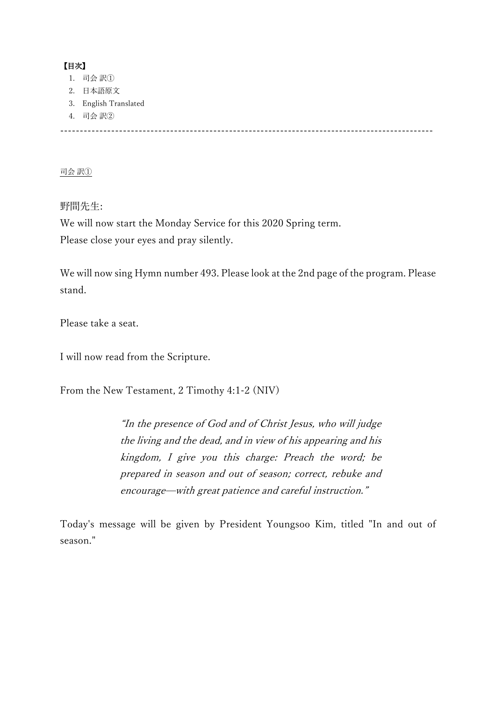# 【目次】

- 1. 司会 訳①
- 2. 日本語原文
- 3. English Translated
- 4. 司会 訳②

-----------------------------------------------------------------------------------------------

司会 訳①

野間先生:

We will now start the Monday Service for this 2020 Spring term. Please close your eyes and pray silently.

We will now sing Hymn number 493. Please look at the 2nd page of the program. Please stand.

Please take a seat.

I will now read from the Scripture.

From the New Testament, 2 Timothy 4:1-2 (NIV)

"In the presence of God and of Christ Jesus, who will judge the living and the dead, and in view of his appearing and his kingdom, I give you this charge: Preach the word; be prepared in season and out of season; correct, rebuke and encourage—with great patience and careful instruction."

Today's message will be given by President Youngsoo Kim, titled "In and out of season."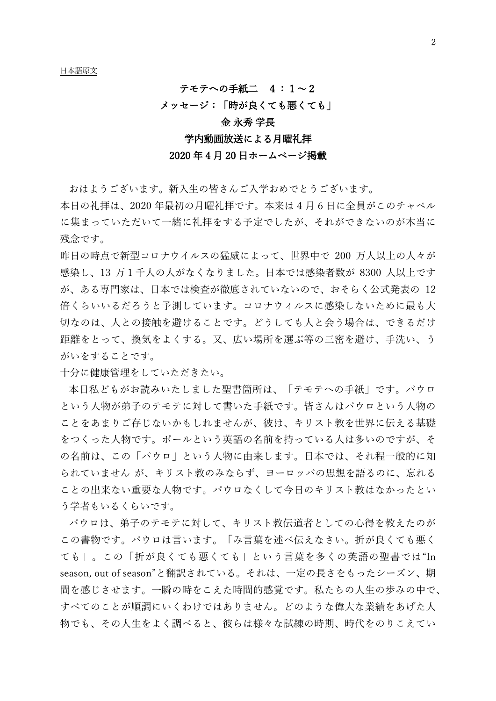#### テモテへの手紙二 4:1~2

#### メッセージ:「時が良くても悪くても」

# 金 永秀 学長

# 学内動画放送による月曜礼拝

#### 2020 年 4 月 20 日ホームページ掲載

おはようございます。新入生の皆さんご入学おめでとうございます。

本日の礼拝は、2020 年最初の月曜礼拝です。本来は 4 月 6 日に全員がこのチャペル に集まっていただいて一緒に礼拝をする予定でしたが、それができないのが本当に 残念です。

昨日の時点で新型コロナウイルスの猛威によって、世界中で 200 万人以上の人々が 感染し、13 万1千人の人がなくなりました。日本では感染者数が 8300 人以上です が、ある専門家は、日本では検査が徹底されていないので、おそらく公式発表の 12 倍くらいいるだろうと予測しています。コロナウィルスに感染しないために最も大 切なのは、人との接触を避けることです。どうしても人と会う場合は、できるだけ 距離をとって、換気をよくする。又、広い場所を選ぶ等の三密を避け、手洗い、う がいをすることです。

十分に健康管理をしていただきたい。

本日私どもがお読みいたしました聖書箇所は、「テモテへの手紙」です。パウロ という人物が弟子のテモテに対して書いた手紙です。皆さんはパウロという人物の ことをあまりご存じないかもしれませんが、彼は、キリスト教を世界に伝える基礎 をつくった人物です。ポールという英語の名前を持っている人は多いのですが、そ の名前は、この「パウロ」という人物に由来します。日本では、それ程一般的に知 られていません が、キリスト教のみならず、ヨーロッパの思想を語るのに、忘れる ことの出来ない重要な人物です。パウロなくして今日のキリスト教はなかったとい う学者もいるくらいです。

パウロは、弟子のテモテに対して、キリスト教伝道者としての心得を教えたのが この書物です。パウロは言います。「み言葉を述べ伝えなさい。折が良くても悪く ても」。この「折が良くても悪くても」という言葉を多くの英語の聖書では"In season, out of season"と翻訳されている。それは、一定の長さをもったシーズン、期 間を感じさせます。一瞬の時をこえた時間的感覚です。私たちの人生の歩みの中で、 すべてのことが順調にいくわけではありません。どのような偉大な業績をあげた人 物でも、その人生をよく調べると、彼らは様々な試練の時期、時代をのりこえてい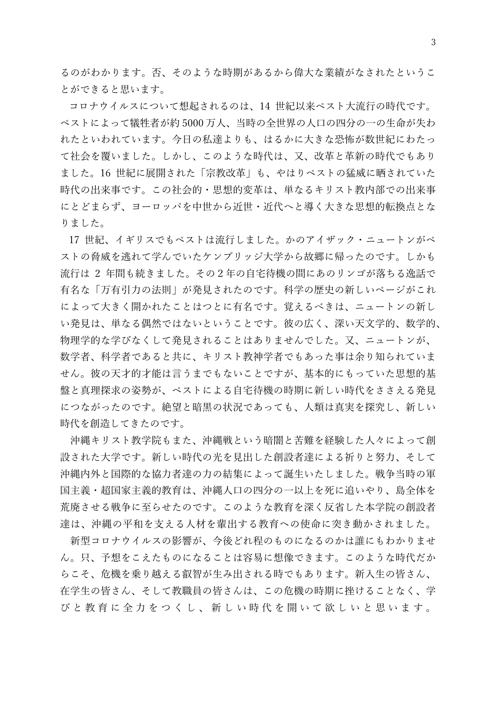るのがわかります。否、そのような時期があるから偉大な業績がなされたというこ とができると思います。

コロナウイルスについて想起されるのは、14 世紀以来ペスト大流行の時代です。 ペストによって犠牲者が約 5000 万人、当時の全世界の人口の四分の一の生命が失わ れたといわれています。今日の私達よりも、はるかに大きな恐怖が数世紀にわたっ て社会を覆いました。しかし、このような時代は、又、改革と革新の時代でもあり ました。16 世紀に展開された「宗教改革」も、やはりペストの猛威に晒されていた 時代の出来事です。この社会的・思想的変革は、単なるキリスト教内部での出来事 にとどまらず、ヨーロッパを中世から近世・近代へと導く大きな思想的転換点とな りました。

17 世紀、イギリスでもペストは流行しました。かのアイザック・ニュートンがペ ストの脅威を逃れて学んでいたケンブリッジ大学から故郷に帰ったのです。しかも 流行は 2 年間も続きました。その2年の自宅待機の間にあのリンゴが落ちる逸話で 有名な「万有引力の法則」が発見されたのです。科学の歴史の新しいページがこれ によって大きく開かれたことはつとに有名です。覚えるべきは、ニュートンの新し い発見は、単なる偶然ではないということです。彼の広く、深い天文学的、数学的、 物理学的な学びなくして発見されることはありませんでした。又、ニュートンが、 数学者、科学者であると共に、キリスト教神学者でもあった事は余り知られていま せん。彼の天才的才能は言うまでもないことですが、基本的にもっていた思想的基 盤と真理探求の姿勢が、ペストによる自宅待機の時期に新しい時代をささえる発見 につながったのです。絶望と暗黒の状況であっても、人類は真実を探究し、新しい 時代を創造してきたのです。

沖縄キリスト教学院もまた、沖縄戦という暗闇と苦難を経験した人々によって創 設された大学です。新しい時代の光を見出した創設者達による祈りと努力、そして 沖縄内外と国際的な協力者達の力の結集によって誕生いたしました。戦争当時の軍 国主義・超国家主義的教育は、沖縄人口の四分の一以上を死に追いやり、島全体を 荒廃させる戦争に至らせたのです。このような教育を深く反省した本学院の創設者 達は、沖縄の平和を支える人材を輩出する教育ヘの使命に突き動かされました。

新型コロナウイルスの影響が、今後どれ程のものになるのかは誰にもわかりませ ん。只、予想をこえたものになることは容易に想像できます。このような時代だか らこそ、危機を乗り越える叡智が生み出される時でもあります。新入生の皆さん、 在学生の皆さん、そして教職員の皆さんは、この危機の時期に挫けることなく、学 びと教育に全力をつくし、新しい時代を開いて欲しいと思います。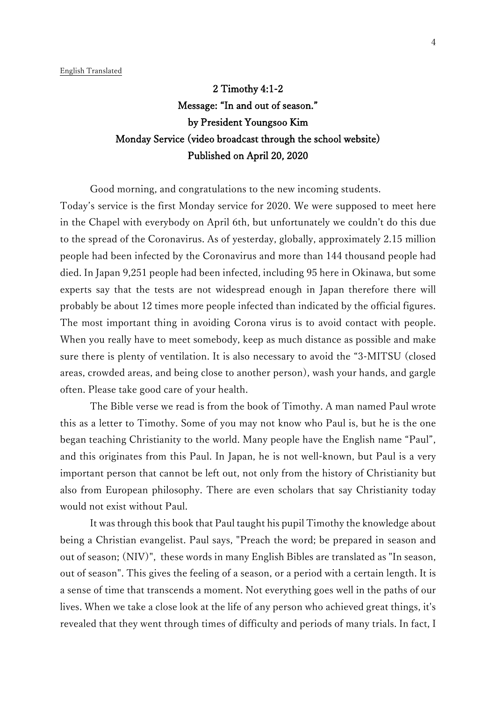2 Timothy 4:1-2 Message: "In and out of season." by President Youngsoo Kim Monday Service (video broadcast through the school website) Published on April 20, 2020

Good morning, and congratulations to the new incoming students.

Today's service is the first Monday service for 2020. We were supposed to meet here in the Chapel with everybody on April 6th, but unfortunately we couldn't do this due to the spread of the Coronavirus. As of yesterday, globally, approximately 2.15 million people had been infected by the Coronavirus and more than 144 thousand people had died. In Japan 9,251 people had been infected, including 95 here in Okinawa, but some experts say that the tests are not widespread enough in Japan therefore there will probably be about 12 times more people infected than indicated by the official figures. The most important thing in avoiding Corona virus is to avoid contact with people. When you really have to meet somebody, keep as much distance as possible and make sure there is plenty of ventilation. It is also necessary to avoid the "3-MITSU (closed areas, crowded areas, and being close to another person), wash your hands, and gargle often. Please take good care of your health.

The Bible verse we read is from the book of Timothy. A man named Paul wrote this as a letter to Timothy. Some of you may not know who Paul is, but he is the one began teaching Christianity to the world. Many people have the English name "Paul", and this originates from this Paul. In Japan, he is not well-known, but Paul is a very important person that cannot be left out, not only from the history of Christianity but also from European philosophy. There are even scholars that say Christianity today would not exist without Paul.

It was through this book that Paul taught his pupil Timothy the knowledge about being a Christian evangelist. Paul says, "Preach the word; be prepared in season and out of season; (NIV)", these words in many English Bibles are translated as "In season, out of season". This gives the feeling of a season, or a period with a certain length. It is a sense of time that transcends a moment. Not everything goes well in the paths of our lives. When we take a close look at the life of any person who achieved great things, it's revealed that they went through times of difficulty and periods of many trials. In fact, I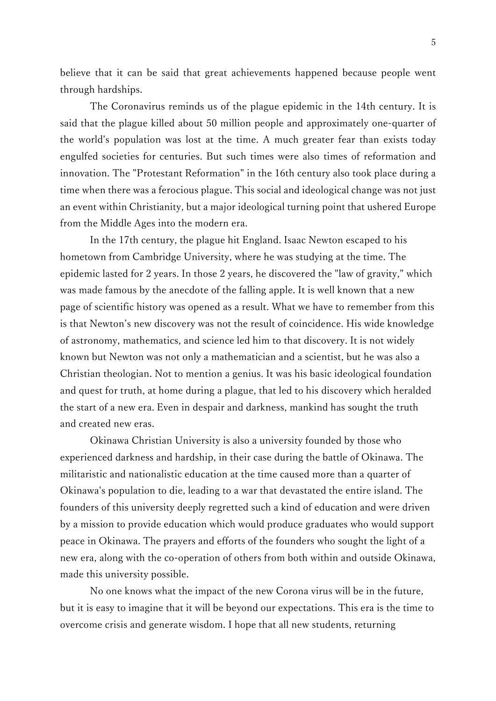believe that it can be said that great achievements happened because people went through hardships.

The Coronavirus reminds us of the plague epidemic in the 14th century. It is said that the plague killed about 50 million people and approximately one-quarter of the world's population was lost at the time. A much greater fear than exists today engulfed societies for centuries. But such times were also times of reformation and innovation. The "Protestant Reformation" in the 16th century also took place during a time when there was a ferocious plague. This social and ideological change was not just an event within Christianity, but a major ideological turning point that ushered Europe from the Middle Ages into the modern era.

In the 17th century, the plague hit England. Isaac Newton escaped to his hometown from Cambridge University, where he was studying at the time. The epidemic lasted for 2 years. In those 2 years, he discovered the "law of gravity," which was made famous by the anecdote of the falling apple. It is well known that a new page of scientific history was opened as a result. What we have to remember from this is that Newton's new discovery was not the result of coincidence. His wide knowledge of astronomy, mathematics, and science led him to that discovery. It is not widely known but Newton was not only a mathematician and a scientist, but he was also a Christian theologian. Not to mention a genius. It was his basic ideological foundation and quest for truth, at home during a plague, that led to his discovery which heralded the start of a new era. Even in despair and darkness, mankind has sought the truth and created new eras.

Okinawa Christian University is also a university founded by those who experienced darkness and hardship, in their case during the battle of Okinawa. The militaristic and nationalistic education at the time caused more than a quarter of Okinawa's population to die, leading to a war that devastated the entire island. The founders of this university deeply regretted such a kind of education and were driven by a mission to provide education which would produce graduates who would support peace in Okinawa. The prayers and efforts of the founders who sought the light of a new era, along with the co-operation of others from both within and outside Okinawa, made this university possible.

No one knows what the impact of the new Corona virus will be in the future, but it is easy to imagine that it will be beyond our expectations. This era is the time to overcome crisis and generate wisdom. I hope that all new students, returning